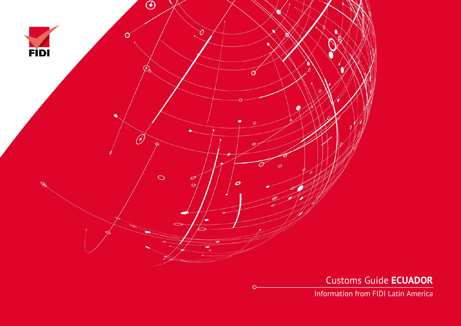

Customs Guide **ECUADOR**

Information from FIDI Latin America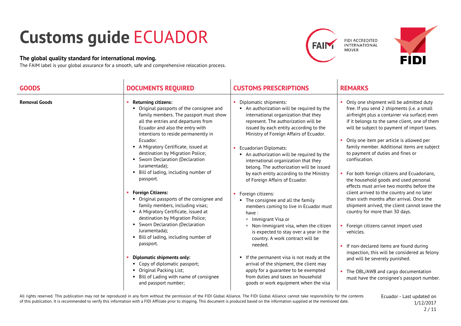# **Customs guide** ECUADOR

### **The global quality standard for international moving.**

The FAIM label is your global assurance for a smooth, safe and comprehensive relocation process.





| <b>GOODS</b>         | <b>DOCUMENTS REQUIRED</b>                                                                                                                                                                                                                                                                                                                                                                                                                             | <b>CUSTOMS PRESCRIPTIONS</b>                                                                                                                                                                                                                                                                                                                                                                                                                                                                | <b>REMARKS</b>                                                                                                                                                                                                                                                                                                                                                                                                                                                                                                                     |
|----------------------|-------------------------------------------------------------------------------------------------------------------------------------------------------------------------------------------------------------------------------------------------------------------------------------------------------------------------------------------------------------------------------------------------------------------------------------------------------|---------------------------------------------------------------------------------------------------------------------------------------------------------------------------------------------------------------------------------------------------------------------------------------------------------------------------------------------------------------------------------------------------------------------------------------------------------------------------------------------|------------------------------------------------------------------------------------------------------------------------------------------------------------------------------------------------------------------------------------------------------------------------------------------------------------------------------------------------------------------------------------------------------------------------------------------------------------------------------------------------------------------------------------|
| <b>Removal Goods</b> | <b>Returning citizens:</b><br>Original passports of the consignee and<br>family members. The passport must show<br>all the entries and departures from<br>Ecuador and also the entry with<br>intentions to reside permanently in<br>Ecuador.<br>A Migratory Certificate, issued at<br>destination by Migration Police;<br>Sworn Declaration (Declaration<br>Juramentada);<br>Bill of lading, including number of<br>passport.                         | Diplomatic shipments:<br>• An authorization will be required by the<br>international organization that they<br>represent. The authorization will be<br>issued by each entity according to the<br>Ministry of Foreign Affairs of Ecuador.<br>Ecuadorian Diplomats:<br>An authorization will be required by the<br>international organization that they<br>belong. The authorization will be issued<br>by each entity according to the Ministry<br>of Foreign Affairs of Ecuador.             | • Only one shipment will be admitted duty<br>free. If you send 2 shipments (i.e. a small<br>airfreight plus a container via surface) even<br>if it belongs to the same client, one of them<br>will be subject to payment of import taxes.<br>• Only one item per article is allowed per<br>family member. Additional items are subject<br>to payment of duties and fines or<br>confiscation.<br>• For both foreign citizens and Ecuadorians,<br>the household goods and used personal<br>effects must arrive two months before the |
|                      | <b>Foreign Citizens:</b><br>• Original passports of the consignee and<br>family members, including visas;<br>A Migratory Certificate, issued at<br>destination by Migration Police;<br>Sworn Declaration (Declaration<br>Juramentada);<br>Bill of lading, including number of<br>passport.<br>Diplomatic shipments only:<br>• Copy of diplomatic passport;<br>Original Packing List;<br>Bill of Lading with name of consignee<br>and passport number; | Foreign citizens:<br>×.<br>• The consignee and all the family<br>members coming to live in Ecuador must<br>have:<br>Immigrant Visa or<br>×.<br>Non-Immigrant visa, when the citizen<br>is expected to stay over a year in the<br>country. A work contract will be<br>needed.<br>If the permanent visa is not ready at the<br>arrival of the shipment, the client may<br>apply for a quarantee to be exempted<br>from duties and taxes on household<br>goods or work equipment when the visa | client arrived to the country and no later<br>than sixth months after arrival. Once the<br>shipment arrived, the client cannot leave the<br>country for more than 30 days.<br>• Foreign citizens cannot import used<br>vehicles.<br>• If non-declared items are found during<br>inspection, this will be considered as felony<br>and will be severely punished.<br>• The OBL/AWB and cargo documentation<br>must have the consignee's passport number.                                                                             |

All rights reserved. This publication may not be reproduced in any form without the permission of the FIDI Global Alliance. The FIDI Global Alliance cannot take responsibility for the contents of this publication. It is recommended to verify this information with a FIDI Affiliate prior to shipping. This document is produced based on the information supplied at the mentioned date.

Ecuador - Last updated on 1/12/2017 2 / 11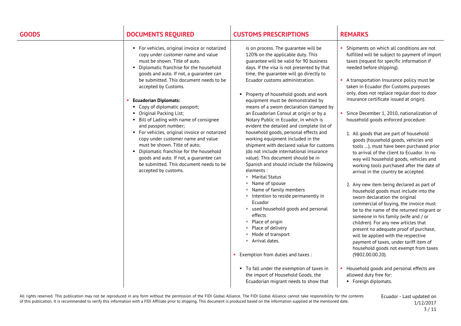## **GOODS DOCUMENTS REQUIRED CUSTOMS PRESCRIPTIONS REMARKS**

- For vehicles, original invoice or notarized copy under customer name and value must be shown. Title of auto.
- **•** Diplomatic franchise for the household goods and auto. If not, a guarantee can be submitted. This document needs to be accepted by Customs.

### **Ecuadorian Diplomats:**

- Copy of diplomatic passport;
- **Original Packing List;**
- Bill of Lading with name of consignee and passport number;
- For vehicles, original invoice or notarized copy under customer name and value must be shown. Title of auto;
- Diplomatic franchise for the household goods and auto. If not, a guarantee can be submitted. This document needs to be accepted by customs.

is on process. The guarantee will be 120% on the applicable duty. This guarantee will be valid for 90 business days. If the visa is not presented by that time, the guarantee will go directly to Ecuador customs administration.

- **Property of household goods and work** equipment must be demonstrated by means of a sworn declaration stamped by an Ecuadorian Consul at origin or by a Notary Public in Ecuador, in which is evident the detailed and complete list of household goods, personal effects and working equipment included in the shipment with declared value for customs (do not include international insurance value). This document should be in Spanish and should include the following elements :
	- Marital Status
	- Name of spouse
	- Name of family members
	- Intention to reside permanently in Ecuador
	- used household goods and personal effects
	- Place of origin
	- Place of delivery
	- Mode of transport
	- Arrival dates.
- **Exemption from duties and taxes:** 
	- To fall under the exemption of taxes in the import of Household Goods, the Ecuadorian migrant needs to show that

- Shipments on which all conditions are not fulfilled will be subject to payment of import taxes (request for specific information if needed before shipping).
- A transportation Insurance policy must be taken in Ecuador (for Customs purposes only, does not replace regular door to door insurance certificate issued at origin).
- Since December 1, 2010, nationalization of household goods enforced procedure:
	- 1. All goods that are part of household goods (household goods, vehicles and tools …), must have been purchased prior to arrival of the client to Ecuador. In no way will household goods, vehicles and working tools purchased after the date of arrival in the country be accepted.
	- 2. Any new item being declared as part of household goods must include into the sworn declaration the original commercial of buying, the invoice must be to the name of the returned migrant or someone in his family (wife and / or children). For any new articles that present no adequate proof of purchase, will be applied with the respective payment of taxes, under tariff item of household goods not exempt from taxes (9802.00.00.20).
- Household goods and personal effects are allowed duty free for:
	- Foreign diplomats.

All rights reserved. This publication may not be reproduced in any form without the permission of the FIDI Global Alliance. The FIDI Global Alliance cannot take responsibility for the contents of this publication. It is recommended to verify this information with a FIDI Affiliate prior to shipping. This document is produced based on the information supplied at the mentioned date.

Ecuador - Last updated on 1/12/2017 3 / 11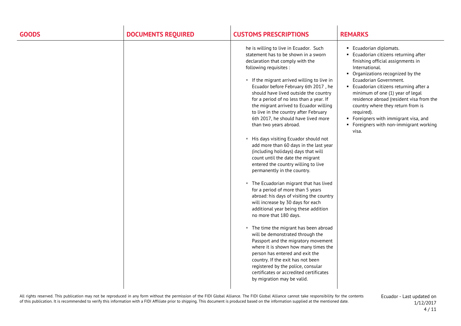| <b>GOODS</b> | <b>DOCUMENTS REQUIRED</b> | <b>CUSTOMS PRESCRIPTIONS</b>                                                                                                                                                                                                                                                                                                                                                                                                                                                                                                                                                                                                                                                                                                                                                                                                                                                                                                                                                                                                                                                                                                                                                                                                                                                                          | <b>REMARKS</b>                                                                                                                                                                                                                                                                                                                                                                                                                                                  |
|--------------|---------------------------|-------------------------------------------------------------------------------------------------------------------------------------------------------------------------------------------------------------------------------------------------------------------------------------------------------------------------------------------------------------------------------------------------------------------------------------------------------------------------------------------------------------------------------------------------------------------------------------------------------------------------------------------------------------------------------------------------------------------------------------------------------------------------------------------------------------------------------------------------------------------------------------------------------------------------------------------------------------------------------------------------------------------------------------------------------------------------------------------------------------------------------------------------------------------------------------------------------------------------------------------------------------------------------------------------------|-----------------------------------------------------------------------------------------------------------------------------------------------------------------------------------------------------------------------------------------------------------------------------------------------------------------------------------------------------------------------------------------------------------------------------------------------------------------|
|              |                           | he is willing to live in Ecuador. Such<br>statement has to be shown in a sworn<br>declaration that comply with the<br>following requisites :<br>" If the migrant arrived willing to live in<br>Ecuador before February 6th 2017, he<br>should have lived outside the country<br>for a period of no less than a year. If<br>the migrant arrived to Ecuador willing<br>to live in the country after February<br>6th 2017, he should have lived more<br>than two years abroad.<br>His days visiting Ecuador should not<br>add more than 60 days in the last year<br>(including holidays) days that will<br>count until the date the migrant<br>entered the country willing to live<br>permanently in the country.<br>" The Ecuadorian migrant that has lived<br>for a period of more than 5 years<br>abroad: his days of visiting the country<br>will increase by 30 days for each<br>additional year being these addition<br>no more that 180 days.<br>" The time the migrant has been abroad<br>will be demonstrated through the<br>Passport and the migratory movement<br>where it is shown how many times the<br>person has entered and exit the<br>country. If the exit has not been<br>registered by the police, consular<br>certificates or accredited certificates<br>by migration may be valid. | • Ecuadorian diplomats.<br>• Ecuadorian citizens returning after<br>finishing official assignments in<br>International.<br>• Organizations recognized by the<br>Ecuadorian Government.<br>Ecuadorian citizens returning after a<br>minimum of one (1) year of legal<br>residence abroad (resident visa from the<br>country where they return from is<br>required).<br>• Foreigners with immigrant visa, and<br>• Foreigners with non-immigrant working<br>visa. |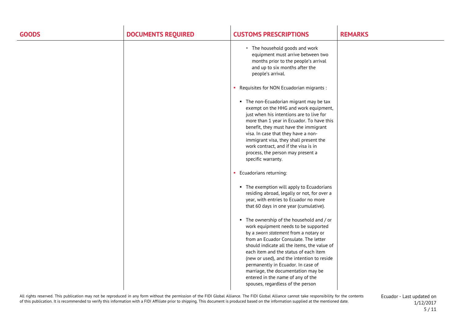| <b>GOODS</b> | <b>DOCUMENTS REQUIRED</b> | <b>CUSTOMS PRESCRIPTIONS</b>                                                                                                                                                                                                                                                                                                                                                                                                                                    | <b>REMARKS</b> |
|--------------|---------------------------|-----------------------------------------------------------------------------------------------------------------------------------------------------------------------------------------------------------------------------------------------------------------------------------------------------------------------------------------------------------------------------------------------------------------------------------------------------------------|----------------|
|              |                           | " The household goods and work<br>equipment must arrive between two<br>months prior to the people's arrival<br>and up to six months after the<br>people's arrival.                                                                                                                                                                                                                                                                                              |                |
|              |                           | • Requisites for NON Ecuadorian migrants :                                                                                                                                                                                                                                                                                                                                                                                                                      |                |
|              |                           | • The non-Ecuadorian migrant may be tax<br>exempt on the HHG and work equipment,<br>just when his intentions are to live for<br>more than 1 year in Ecuador. To have this<br>benefit, they must have the immigrant<br>visa. In case that they have a non-<br>immigrant visa, they shall present the<br>work contract, and if the visa is in<br>process, the person may present a<br>specific warranty.                                                          |                |
|              |                           | • Ecuadorians returning:                                                                                                                                                                                                                                                                                                                                                                                                                                        |                |
|              |                           | • The exemption will apply to Ecuadorians<br>residing abroad, legally or not, for over a<br>year, with entries to Ecuador no more<br>that 60 days in one year (cumulative).                                                                                                                                                                                                                                                                                     |                |
|              |                           | • The ownership of the household and / or<br>work equipment needs to be supported<br>by a sworn statement from a notary or<br>from an Ecuador Consulate. The letter<br>should indicate all the items, the value of<br>each item and the status of each item<br>(new or used), and the intention to reside<br>permanently in Ecuador. In case of<br>marriage, the documentation may be<br>entered in the name of any of the<br>spouses, regardless of the person |                |

All rights reserved. This publication may not be reproduced in any form without the permission of the FIDI Global Alliance. The FIDI Global Alliance cannot take responsibility for the contents of this publication. It is recommended to verify this information with a FIDI Affiliate prior to shipping. This document is produced based on the information supplied at the mentioned date.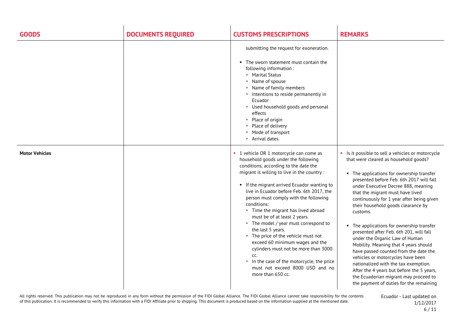| <b>GOODS</b>          | <b>DOCUMENTS REQUIRED</b> | <b>CUSTOMS PRESCRIPTIONS</b>                                                                                                                                                                                                                                                                                                                                                                                                                                                                                                                                                                                                                                                               | <b>REMARKS</b>                                                                                                                                                                                                                                                                                                                                                                                                                                                                                                                                                                                                                                                                                                                                                                                          |
|-----------------------|---------------------------|--------------------------------------------------------------------------------------------------------------------------------------------------------------------------------------------------------------------------------------------------------------------------------------------------------------------------------------------------------------------------------------------------------------------------------------------------------------------------------------------------------------------------------------------------------------------------------------------------------------------------------------------------------------------------------------------|---------------------------------------------------------------------------------------------------------------------------------------------------------------------------------------------------------------------------------------------------------------------------------------------------------------------------------------------------------------------------------------------------------------------------------------------------------------------------------------------------------------------------------------------------------------------------------------------------------------------------------------------------------------------------------------------------------------------------------------------------------------------------------------------------------|
|                       |                           | submitting the request for exoneration.<br>• The sworn statement must contain the<br>following information :<br>■ Marital Status<br>■ Name of spouse<br>" Name of family members<br>Intentions to reside permanently in<br>Ecuador<br>Used household goods and personal<br>effects<br>$\blacksquare$ Place of origin<br>■ Place of delivery<br>■ Mode of transport<br>Arrival dates.                                                                                                                                                                                                                                                                                                       |                                                                                                                                                                                                                                                                                                                                                                                                                                                                                                                                                                                                                                                                                                                                                                                                         |
| <b>Motor Vehicles</b> |                           | • 1 vehicle OR 1 motorcycle can come as<br>household goods under the following<br>conditions, according to the date the<br>migrant is willing to live in the country :<br>• If the migrant arrived Ecuador wanting to<br>live in Ecuador before Feb. 6th 2017, the<br>person must comply with the following<br>conditions:<br>" Time the migrant has lived abroad<br>must be of at least 2 years.<br>The model / year must correspond to<br>the last 5 years.<br>" The price of the vehicle must not<br>exceed 60 minimum wages and the<br>cylinders must not be more than 3000<br>CC.<br>In the case of the motorcycle, the price<br>must not exceed 8000 USD and no<br>more than 650 cc. | • Is it possible to sell a vehicles or motorcycle<br>that were cleared as household goods?<br>• The applications for ownership transfer<br>presented before Feb. 6th 2017 will fall<br>under Executive Decree 888, meaning<br>that the migrant must have lived<br>continuously for 1 year after being given<br>their household goods clearance by<br>customs.<br>The applications for ownership transfer<br>$\blacksquare$<br>presented after Feb. 6th 201, will fall<br>under the Organic Law of Human<br>Mobility. Meaning that 4 years should<br>have passed counted from the date the<br>vehicles or motorcycles have been<br>nationalized with the tax exemption.<br>After the 4 years but before the 5 years,<br>the Ecuadorian migrant may proceed to<br>the payment of duties for the remaining |

All rights reserved. This publication may not be reproduced in any form without the permission of the FIDI Global Alliance. The FIDI Global Alliance cannot take responsibility for the contents of this publication. It is recommended to verify this information with a FIDI Affiliate prior to shipping. This document is produced based on the information supplied at the mentioned date.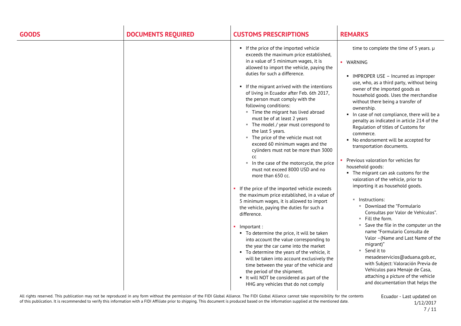| <b>GOODS</b> | <b>DOCUMENTS REQUIRED</b> | <b>CUSTOMS PRESCRIPTIONS</b>                                                                                                                                                                                                                                                                                                                                                                                                                                                                                                                                                                                                                                                                                                                                                                                                                                                                                                                                                                                                                                                                                                                                                                                                                                                                                                                                     | <b>REMARKS</b>                                                                                                                                                                                                                                                                                                                                                                                                                                                                                                                                                                                                                                                                                                                                                                                                                                                                                                                                                                                                                                                                                                                                     |
|--------------|---------------------------|------------------------------------------------------------------------------------------------------------------------------------------------------------------------------------------------------------------------------------------------------------------------------------------------------------------------------------------------------------------------------------------------------------------------------------------------------------------------------------------------------------------------------------------------------------------------------------------------------------------------------------------------------------------------------------------------------------------------------------------------------------------------------------------------------------------------------------------------------------------------------------------------------------------------------------------------------------------------------------------------------------------------------------------------------------------------------------------------------------------------------------------------------------------------------------------------------------------------------------------------------------------------------------------------------------------------------------------------------------------|----------------------------------------------------------------------------------------------------------------------------------------------------------------------------------------------------------------------------------------------------------------------------------------------------------------------------------------------------------------------------------------------------------------------------------------------------------------------------------------------------------------------------------------------------------------------------------------------------------------------------------------------------------------------------------------------------------------------------------------------------------------------------------------------------------------------------------------------------------------------------------------------------------------------------------------------------------------------------------------------------------------------------------------------------------------------------------------------------------------------------------------------------|
|              |                           | If the price of the imported vehicle<br>exceeds the maximum price established,<br>in a value of 5 minimum wages, it is<br>allowed to import the vehicle, paying the<br>duties for such a difference.<br>• If the migrant arrived with the intentions<br>of living in Ecuador after Feb. 6th 2017,<br>the person must comply with the<br>following conditions:<br>" Time the migrant has lived abroad<br>must be of at least 2 years<br>The model / year must correspond to<br>the last 5 years.<br>" The price of the vehicle must not<br>exceed 60 minimum wages and the<br>cylinders must not be more than 3000<br>CC<br>In the case of the motorcycle, the price<br>must not exceed 8000 USD and no<br>more than 650 cc.<br>• If the price of the imported vehicle exceeds<br>the maximum price established, in a value of<br>5 minimum wages, it is allowed to import<br>the vehicle, paying the duties for such a<br>difference.<br>$\blacksquare$ Important :<br>" To determine the price, it will be taken<br>into account the value corresponding to<br>the year the car came into the market<br>" To determine the years of the vehicle, it<br>will be taken into account exclusively the<br>time between the year of the vehicle and<br>the period of the shipment.<br>It will NOT be considered as part of the<br>HHG any vehicles that do not comply | time to complete the time of 5 years. $\mu$<br><b>• WARNING</b><br>• IMPROPER USE - Incurred as improper<br>use, who, as a third party, without being<br>owner of the imported goods as<br>household goods. Uses the merchandise<br>without there being a transfer of<br>ownership.<br>In case of not compliance, there will be a<br>penalty as indicated in article 214 of the<br>Regulation of titles of Customs for<br>commerce.<br>• No endorsement will be accepted for<br>transportation documents.<br>Previous valoration for vehicles for<br>household goods:<br>• The migrant can ask customs for the<br>valoration of the vehicle, prior to<br>importing it as household goods.<br>$\blacksquare$ Instructions:<br>" Download the "Formulario<br>Consultas por Valor de Vehículos".<br>" Fill the form.<br>" Save the file in the computer un the<br>name "Formulario Consulta de<br>Valor - (Name and Last Name of the<br>migrant)"<br>■ Send it to<br>mesadeservicios@aduana.gob.ec,<br>with Subject: Valoración Previa de<br>Vehículos para Menaje de Casa,<br>attaching a picture of the vehicle<br>and documentation that helps the |

All rights reserved. This publication may not be reproduced in any form without the permission of the FIDI Global Alliance. The FIDI Global Alliance cannot take responsibility for the contents of this publication. It is recommended to verify this information with a FIDI Affiliate prior to shipping. This document is produced based on the information supplied at the mentioned date.

Ecuador - Last updated on 1/12/2017 7 / 11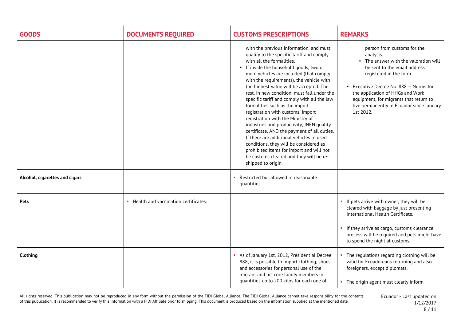| <b>GOODS</b>                   | <b>DOCUMENTS REQUIRED</b>              | <b>CUSTOMS PRESCRIPTIONS</b>                                                                                                                                                                                                                                                                                                                                                                                                                                                                                                                                                                                                                                                                                                                                                                          | <b>REMARKS</b>                                                                                                                                                                                                                                                                                                                    |
|--------------------------------|----------------------------------------|-------------------------------------------------------------------------------------------------------------------------------------------------------------------------------------------------------------------------------------------------------------------------------------------------------------------------------------------------------------------------------------------------------------------------------------------------------------------------------------------------------------------------------------------------------------------------------------------------------------------------------------------------------------------------------------------------------------------------------------------------------------------------------------------------------|-----------------------------------------------------------------------------------------------------------------------------------------------------------------------------------------------------------------------------------------------------------------------------------------------------------------------------------|
|                                |                                        | with the previous information, and must<br>qualify to the specific tariff and comply<br>with all the formalities.<br>If inside the household goods, two or<br>more vehicles are included (that comply<br>with the requirements), the vehicle with<br>the highest value will be accepted. The<br>rest, in new condition, must fall under the<br>specific tariff and comply with all the law<br>formalities such as the import<br>registration with customs, import<br>registration with the Ministry of<br>industries and productivity, INEN quality<br>certificate, AND the payment of all duties.<br>If there are additional vehicles in used<br>conditions, they will be considered as<br>prohibited ítems for import and will not<br>be customs cleared and they will be re-<br>shipped to origin. | person from customs for the<br>analysis.<br>The answer with the valoration will<br>be sent to the email address<br>registered in the form.<br><b>Executive Decree No. 888 - Norms for</b><br>the application of HHGs and Work<br>equipment, for migrants that return to<br>live permanently in Ecuador since January<br>1st 2012. |
| Alcohol, cigarettes and cigars |                                        | Restricted but allowed in reasonable<br>quantities.                                                                                                                                                                                                                                                                                                                                                                                                                                                                                                                                                                                                                                                                                                                                                   |                                                                                                                                                                                                                                                                                                                                   |
| Pets                           | • Health and vaccination certificates. |                                                                                                                                                                                                                                                                                                                                                                                                                                                                                                                                                                                                                                                                                                                                                                                                       | • If pets arrive with owner, they will be<br>cleared with baggage by just presenting<br>International Health Certificate.<br>• If they arrive as cargo, customs clearance<br>process will be required and pets might have<br>to spend the night at customs.                                                                       |
| Clothing                       |                                        | As of January 1st, 2012, Presidential Decree<br>888, it is possible to import clothing, shoes<br>and accessories for personal use of the<br>migrant and his core family members in<br>quantities up to 200 kilos for each one of                                                                                                                                                                                                                                                                                                                                                                                                                                                                                                                                                                      | The regulations regarding clothing will be<br>valid for Ecuadoreans returning and also<br>foreigners, except diplomats.<br>• The origin agent must clearly inform                                                                                                                                                                 |

All rights reserved. This publication may not be reproduced in any form without the permission of the FIDI Global Alliance. The FIDI Global Alliance cannot take responsibility for the contents of this publication. It is recommended to verify this information with a FIDI Affiliate prior to shipping. This document is produced based on the information supplied at the mentioned date.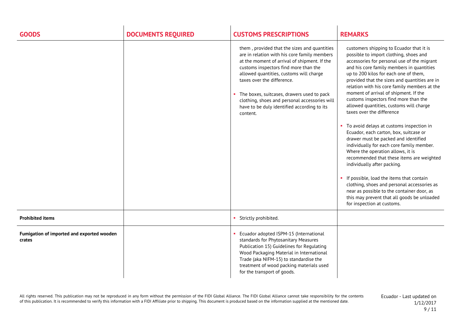| <b>GOODS</b>                                         | <b>DOCUMENTS REQUIRED</b> | <b>CUSTOMS PRESCRIPTIONS</b>                                                                                                                                                                                                                                                                                                                                                                                             | <b>REMARKS</b>                                                                                                                                                                                                                                                                                                                                                                                                                                                                                                                                                                                                                                                                                                                                                                                                                                                                                                                                                                                         |
|------------------------------------------------------|---------------------------|--------------------------------------------------------------------------------------------------------------------------------------------------------------------------------------------------------------------------------------------------------------------------------------------------------------------------------------------------------------------------------------------------------------------------|--------------------------------------------------------------------------------------------------------------------------------------------------------------------------------------------------------------------------------------------------------------------------------------------------------------------------------------------------------------------------------------------------------------------------------------------------------------------------------------------------------------------------------------------------------------------------------------------------------------------------------------------------------------------------------------------------------------------------------------------------------------------------------------------------------------------------------------------------------------------------------------------------------------------------------------------------------------------------------------------------------|
|                                                      |                           | them, provided that the sizes and quantities<br>are in relation with his core family members<br>at the moment of arrival of shipment. If the<br>customs inspectors find more than the<br>allowed quantities, customs will charge<br>taxes over the difference.<br>The boxes, suitcases, drawers used to pack<br>clothing, shoes and personal accessories will<br>have to be duly identified according to its<br>content. | customers shipping to Ecuador that it is<br>possible to import clothing, shoes and<br>accessories for personal use of the migrant<br>and his core family members in quantities<br>up to 200 kilos for each one of them,<br>provided that the sizes and quantities are in<br>relation with his core family members at the<br>moment of arrival of shipment. If the<br>customs inspectors find more than the<br>allowed quantities, customs will charge<br>taxes over the difference<br>To avoid delays at customs inspection in<br>Ecuador, each carton, box, suitcase or<br>drawer must be packed and identified<br>individually for each core family member.<br>Where the operation allows, it is<br>recommended that these items are weighted<br>individually after packing.<br>• If possible, load the items that contain<br>clothing, shoes and personal accessories as<br>near as possible to the container door, as<br>this may prevent that all goods be unloaded<br>for inspection at customs. |
| <b>Prohibited items</b>                              |                           | Strictly prohibited.                                                                                                                                                                                                                                                                                                                                                                                                     |                                                                                                                                                                                                                                                                                                                                                                                                                                                                                                                                                                                                                                                                                                                                                                                                                                                                                                                                                                                                        |
| Fumigation of imported and exported wooden<br>crates |                           | Ecuador adopted ISPM-15 (International<br>standards for Phytosanitary Measures<br>Publication 15) Guidelines for Regulating<br>Wood Packaging Material in International<br>Trade (aka NIFM-15) to standardise the<br>treatment of wood packing materials used<br>for the transport of goods.                                                                                                                             |                                                                                                                                                                                                                                                                                                                                                                                                                                                                                                                                                                                                                                                                                                                                                                                                                                                                                                                                                                                                        |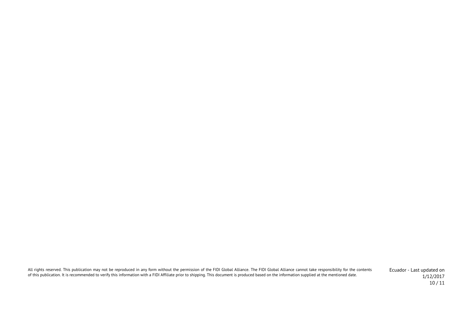All rights reserved. This publication may not be reproduced in any form without the permission of the FIDI Global Alliance. The FIDI Global Alliance cannot take responsibility for the contents of this publication. It is recommended to verify this information with a FIDI Affiliate prior to shipping. This document is produced based on the information supplied at the mentioned date. Ecuador - Last updated on 1/12/2017

 $10 / 11$